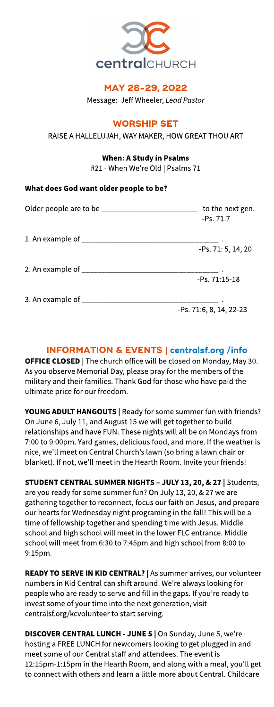

# MAY 28-29, 2022

Message: Jeff Wheeler, Lead Pastor

# **WORSHIP SET**

RAISE A HALLELUJAH, WAY MAKER, HOW GREAT THOU ART

## When: AStudy in Psalms

#21 - When We're Old | Psalms 71

## What does God want older people to be?

| to the next gen.<br>$-PS.71:7$ |
|--------------------------------|
|                                |
| -Ps. 71: 5, 14, 20             |
|                                |
| $-PS.71:15-18$                 |
|                                |
| -Ps. 71:6, 8, 14, 22-23        |

# INFORMATION& EVENTS| **[centralsf.org/info](http://centralsf.org/info)**

**OFFICE CLOSED** | The church office will be closed on Monday, May 30. As you observe Memorial Day, please pray for the members of the military and their families. Thank God for thosewho have paid the ultimate price for our freedom.

YOUNG ADULT HANGOUTS | Ready for some summer fun with friends? On June 6, July 11, and August 15we will get together to build relationships and have FUN. These nights will all be on Mondays from 7:00 to 9:00pm. Yard games, delicious food, and more. If the weather is nice, we?ll meet on Central Church?slawn (so bring a lawn chair or blanket). If not, we'll meet in the Hearth Room. Invite your friends!

STUDENT CENTRAL SUMMER NIGHTS - JULY 13, 20, & 27 | Students, are you ready for some summer fun? On July 13, 20, & 27 we are gathering together to reconnect, focus our faith on Jesus, and prepare our hearts for Wednesday night programing in the fall! This will be a time of fellowship together and spending time with Jesus. Middle school and high school will meet in the lower FLC entrance. Middle school will meet from 6:30 to 7:45pm and high school from 8:00 to 9:15pm.

READY TO SERVE IN KID CENTRAL? | As summer arrives, our volunteer numbers in Kid Central can shift around. We're always looking for people who are ready to serve and fill in the gaps. If you're ready to invest some of your time into the next generation, visit centralsf.org/kcvolunteer to start serving.

DISCOVER CENTRAL LUNCH - JUNE 5 | On Sunday, June 5, we're hosting a FREE LUNCH for newcomers looking to get plugged in and meet some of our Central staff and attendees. The event is 12:15pm-1:15pm in the Hearth Room, and along with a meal, you'll get to connect with others and learn a little more about Central. Childcare